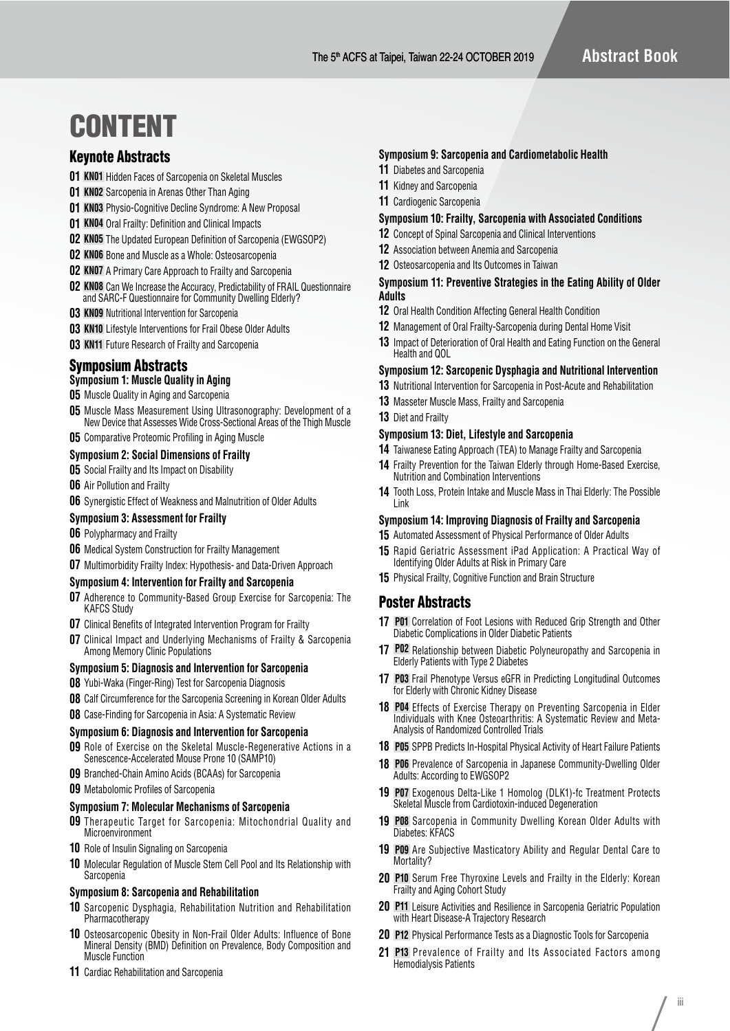# CONTENT

# Keynote Abstracts

- **01 KN01** Hidden Faces of Sarcopenia on Skeletal Muscles
- **01 KN02** Sarcopenia in Arenas Other Than Aging
- **01 KN03** Physio-Cognitive Decline Syndrome: A New Proposal
- **01 KN04** Oral Frailty: Definition and Clinical Impacts
- **02 KN05** The Updated European Definition of Sarcopenia (EWGSOP2)
- **02 KN06** Bone and Muscle as a Whole: Osteosarcopenia
- **02 KN07** A Primary Care Approach to Frailty and Sarcopenia
- **02 KN08** Can We Increase the Accuracy, Predictability of FRAIL Questionnaire and SARC-F Questionnaire for Community Dwelling Elderly?
- **03 KN09** Nutritional Intervention for Sarcopenia
- **03 KN10** Lifestyle Interventions for Frail Obese Older Adults
- **03 KN11** Future Research of Frailty and Sarcopenia

# Symposium Abstracts

# **Symposium 1: Muscle Quality in Aging**

- **05** Muscle Quality in Aging and Sarcopenia
- **05** Muscle Mass Measurement Using Ultrasonography: Development of a New Device that Assesses Wide Cross-Sectional Areas of the Thigh Muscle

# **05** Comparative Proteomic Profiling in Aging Muscle

# **Symposium 2: Social Dimensions of Frailty**

- **05** Social Frailty and Its Impact on Disability
- **06** Air Pollution and Frailty
- **06** Synergistic Effect of Weakness and Malnutrition of Older Adults

#### **Symposium 3: Assessment for Frailty**

- **06** Polypharmacy and Frailty
- **06** Medical System Construction for Frailty Management
- **07** Multimorbidity Frailty Index: Hypothesis- and Data-Driven Approach

#### **Symposium 4: Intervention for Frailty and Sarcopenia**

- **07** Adherence to Community-Based Group Exercise for Sarcopenia: The KAFCS Study
- **07** Clinical Benefits of Integrated Intervention Program for Frailty
- **07** Clinical Impact and Underlying Mechanisms of Frailty & Sarcopenia Among Memory Clinic Populations

## **Symposium 5: Diagnosis and Intervention for Sarcopenia**

- **08** Yubi-Waka (Finger-Ring) Test for Sarcopenia Diagnosis
- **08** Calf Circumference for the Sarcopenia Screening in Korean Older Adults
- **08** Case-Finding for Sarcopenia in Asia: A Systematic Review

#### **Symposium 6: Diagnosis and Intervention for Sarcopenia**

- **09** Role of Exercise on the Skeletal Muscle-Regenerative Actions in a Senescence-Accelerated Mouse Prone 10 (SAMP10)
- **09** Branched-Chain Amino Acids (BCAAs) for Sarcopenia
- **09** Metabolomic Profiles of Sarcopenia

#### **Symposium 7: Molecular Mechanisms of Sarcopenia**

- **09** Therapeutic Target for Sarcopenia: Mitochondrial Quality and Microenvironment
- **10** Role of Insulin Signaling on Sarcopenia
- **10** Molecular Regulation of Muscle Stem Cell Pool and Its Relationship with **Sarcopenia**

#### **Symposium 8: Sarcopenia and Rehabilitation**

- **10** Sarcopenic Dysphagia, Rehabilitation Nutrition and Rehabilitation Pharmacotherapy
- **10** Osteosarcopenic Obesity in Non-Frail Older Adults: Influence of Bone Mineral Density (BMD) Definition on Prevalence, Body Composition and Muscle Function
- **11** Cardiac Rehabilitation and Sarcopenia

# **Symposium 9: Sarcopenia and Cardiometabolic Health**

- **11** Diabetes and Sarcopenia
- **11** Kidney and Sarcopenia
- **11** Cardiogenic Sarcopenia

#### **Symposium 10: Frailty, Sarcopenia with Associated Conditions**

- **12** Concept of Spinal Sarcopenia and Clinical Interventions
- **12** Association between Anemia and Sarcopenia
- **12** Osteosarcopenia and Its Outcomes in Taiwan

## **Symposium 11: Preventive Strategies in the Eating Ability of Older Adults**

- **12** Oral Health Condition Affecting General Health Condition
- **12** Management of Oral Frailty-Sarcopenia during Dental Home Visit
- **13** Impact of Deterioration of Oral Health and Eating Function on the General Health and QOL

## **Symposium 12: Sarcopenic Dysphagia and Nutritional Intervention**

- **13** Nutritional Intervention for Sarcopenia in Post-Acute and Rehabilitation
- **13** Masseter Muscle Mass, Frailty and Sarcopenia
- **13** Diet and Frailty

## **Symposium 13: Diet, Lifestyle and Sarcopenia**

- **14** Taiwanese Eating Approach (TEA) to Manage Frailty and Sarcopenia
- **14** Frailty Prevention for the Taiwan Elderly through Home-Based Exercise, Nutrition and Combination Interventions
- **14** Tooth Loss, Protein Intake and Muscle Mass in Thai Elderly: The Possible Link

## **Symposium 14: Improving Diagnosis of Frailty and Sarcopenia**

- **15** Automated Assessment of Physical Performance of Older Adults
- **15** Rapid Geriatric Assessment iPad Application: A Practical Way of Identifying Older Adults at Risk in Primary Care
- **15** Physical Frailty, Cognitive Function and Brain Structure

# Poster Abstracts

- **17 P01** Correlation of Foot Lesions with Reduced Grip Strength and Other Diabetic Complications in Older Diabetic Patients
- **17 P02** Relationship between Diabetic Polyneuropathy and Sarcopenia in Elderly Patients with Type 2 Diabetes
- **17 P03** Frail Phenotype Versus eGFR in Predicting Longitudinal Outcomes for Elderly with Chronic Kidney Disease
- **18 P04** Effects of Exercise Therapy on Preventing Sarcopenia in Elder Individuals with Knee Osteoarthritis: A Systematic Review and Meta-Analysis of Randomized Controlled Trials
- **18 P05** SPPB Predicts In-Hospital Physical Activity of Heart Failure Patients
- **18 P06** Prevalence of Sarcopenia in Japanese Community-Dwelling Older Adults: According to EWGSOP2
- **19 P07** Exogenous Delta-Like 1 Homolog (DLK1)-fc Treatment Protects Skeletal Muscle from Cardiotoxin-induced Degeneration
- **19 P08** Sarcopenia in Community Dwelling Korean Older Adults with Diabetes: KFACS
- **19 P09** Are Subjective Masticatory Ability and Regular Dental Care to Mortality?
- **20 P10** Serum Free Thyroxine Levels and Frailty in the Elderly: Korean Frailty and Aging Cohort Study
- **20 P11** Leisure Activities and Resilience in Sarcopenia Geriatric Population with Heart Disease-A Trajectory Research
- **20 P12** Physical Performance Tests as a Diagnostic Tools for Sarcopenia
- **21 P13** Prevalence of Frailty and Its Associated Factors among Hemodialysis Patients